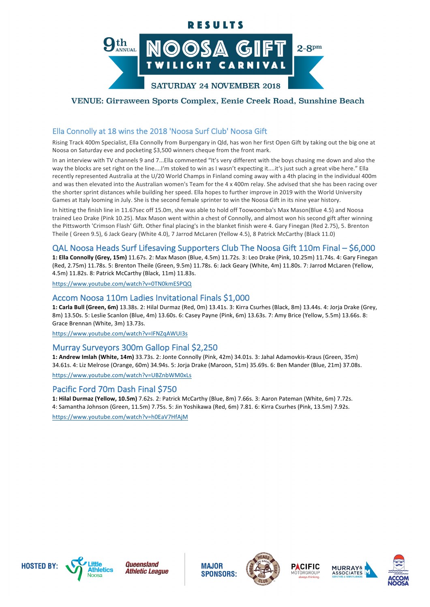# RESULTS



# VENUE: Girraween Sports Complex, Eenie Creek Road, Sunshine Beach

# Ella Connolly at 18 wins the 2018 'Noosa Surf Club' Noosa Gift

Rising Track 400m Specialist, Ella Connolly from Burpengary in Old, has won her first Open Gift by taking out the big one at Noosa on Saturday eve and pocketing \$3,500 winners cheque from the front mark.

In an interview with TV channels 9 and 7...Ella commented "It's very different with the boys chasing me down and also the way the blocks are set right on the line....I'm stoked to win as I wasn't expecting it....it's just such a great vibe here." Ella recently represented Australia at the U/20 World Champs in Finland coming away with a 4th placing in the individual 400m and was then elevated into the Australian women's Team for the 4 x 400m relay. She advised that she has been racing over the shorter sprint distances while building her speed. Ella hopes to further improve in 2019 with the World University Games at Italy looming in July. She is the second female sprinter to win the Noosa Gift in its nine year history.

In hitting the finish line in 11.67sec off 15.0m, she was able to hold off Toowoomba's Max Mason(Blue 4.5) and Noosa trained Leo Drake (Pink 10.25). Max Mason went within a chest of Connolly, and almost won his second gift after winning the Pittsworth 'Crimson Flash' Gift. Other final placing's in the blanket finish were 4. Gary Finegan (Red 2.75), 5. Brenton Theile ( Green 9.5), 6 Jack Geary (White 4.0), 7 Jarrod McLaren (Yellow 4.5), 8 Patrick McCarthy (Black 11.0)

## QAL Noosa Heads Surf Lifesaving Supporters Club The Noosa Gift 110m Final – \$6,000

1: Ella Connolly (Grey, 15m) 11.67s. 2: Max Mason (Blue, 4.5m) 11.72s. 3: Leo Drake (Pink, 10.25m) 11.74s. 4: Gary Finegan (Red, 2.75m) 11.78s. 5: Brenton Theile (Green, 9.5m) 11.78s. 6: Jack Geary (White, 4m) 11.80s. 7: Jarrod McLaren (Yellow, 4.5m) 11.82s. 8: Patrick McCarthy (Black, 11m) 11.83s.

https://www.youtube.com/watch?v=0TN0kmESPQQ

## Accom Noosa 110m Ladies Invitational Finals \$1,000

1: Carla Bull (Green, 6m) 13.38s. 2: Hilal Durmaz (Red, 0m) 13.41s. 3: Kirra Csurhes (Black, 8m) 13.44s. 4: Joria Drake (Grey, 8m) 13.50s. 5: Leslie Scanlon (Blue, 4m) 13.60s. 6: Casey Payne (Pink, 6m) 13.63s. 7: Amy Brice (Yellow, 5.5m) 13.66s. 8: Grace Brennan (White, 3m) 13.73s.

https://www.youtube.com/watch?v=IFNZqAWUI3s

## Murray Surveyors 300m Gallop Final \$2,250

1: Andrew Imlah (White, 14m) 33.73s. 2: Jonte Connolly (Pink, 42m) 34.01s. 3: Jahal Adamovkis-Kraus (Green, 35m) 34.61s. 4: Liz Melrose (Orange, 60m) 34.94s. 5: Jorja Drake (Maroon, 51m) 35.69s. 6: Ben Mander (Blue, 21m) 37.08s. https://www.youtube.com/watch?v=UBZnbWM0xLs

# Pacific Ford 70m Dash Final \$750

1: Hilal Durmaz (Yellow, 10.5m) 7.62s. 2: Patrick McCarthy (Blue, 8m) 7.66s. 3: Aaron Pateman (White, 6m) 7.72s. 4: Samantha Johnson (Green, 11.5m) 7.75s. 5: Jin Yoshikawa (Red, 6m) 7.81. 6: Kirra Csurhes (Pink, 13.5m) 7.92s. https://www.youtube.com/watch?v=h0EaV7HfAjM





**MAJOR SPONSORS:** 







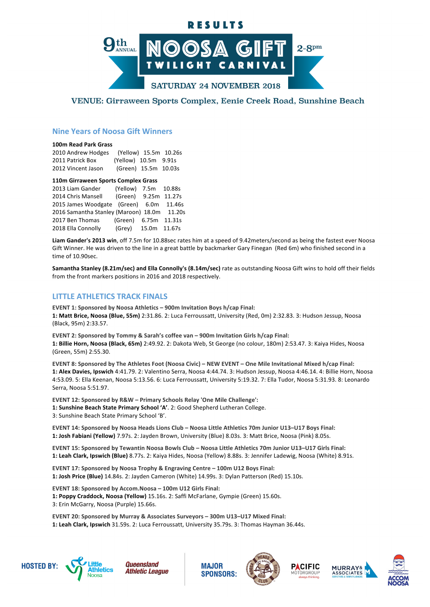# RESULTS



## VENUE: Girraween Sports Complex, Eenie Creek Road, Sunshine Beach

## **Nine Years of Noosa Gift Winners**

#### **100m Read Park Grass**

| 2010 Andrew Hodges | (Yellow) 15.5m 10.26s |  |
|--------------------|-----------------------|--|
| 2011 Patrick Box   | (Yellow) 10.5m 9.91s  |  |
| 2012 Vincent Jason | (Green) 15.5m 10.03s  |  |

#### **110m Girraween Sports Complex Grass**

| 2013 Liam Gander                            | (Yellow) 7.5m 10.88s |  |
|---------------------------------------------|----------------------|--|
| 2014 Chris Mansell                          | (Green) 9.25m 11.27s |  |
| 2015 James Woodgate (Green) 6.0m 11.46s     |                      |  |
| 2016 Samantha Stanley (Maroon) 18.0m 11.20s |                      |  |
| 2017 Ben Thomas                             | (Green) 6.75m 11.31s |  |
| 2018 Ella Connolly                          | (Grey) 15.0m 11.67s  |  |

Liam Gander's 2013 win, off 7.5m for 10.88sec rates him at a speed of 9.42meters/second as being the fastest ever Noosa Gift Winner. He was driven to the line in a great battle by backmarker Gary Finegan (Red 6m) who finished second in a time of 10.90sec.

Samantha Stanley (8.21m/sec) and Ella Connolly's (8.14m/sec) rate as outstanding Noosa Gift wins to hold off their fields from the front markers positions in 2016 and 2018 respectively.

## **LITTLE ATHLETICS TRACK FINALS**

**EVENT 1: Sponsored by Noosa Athletics – 900m Invitation Boys h/cap Final:** 1: Matt Brice, Noosa (Blue, 55m) 2:31.86. 2: Luca Ferroussatt, University (Red, 0m) 2:32.83. 3: Hudson Jessup, Noosa (Black, 95m) 2:33.57.

EVENT 2: Sponsored by Tommy & Sarah's coffee van - 900m Invitation Girls h/cap Final: 1: Billie Horn, Noosa (Black, 65m) 2:49.92. 2: Dakota Web, St George (no colour, 180m) 2:53.47. 3: Kaiya Hides, Noosa (Green, 55m) 2:55.30.

**EVENT 8: Sponsored by The Athletes Foot (Noosa Civic) – NEW EVENT – One Mile Invitational Mixed h/cap Final:** 1: Alex Davies, Ipswich 4:41.79. 2: Valentino Serra, Noosa 4:44.74. 3: Hudson Jessup, Noosa 4:46.14. 4: Billie Horn, Noosa 4:53.09. 5: Ella Keenan, Noosa 5:13.56. 6: Luca Ferroussatt, University 5:19.32. 7: Ella Tudor, Noosa 5:31.93. 8: Leonardo Serra, Noosa 5:51.97.

**EVENT 12: Sponsored by R&W – Primary Schools Relay 'One Mile Challenge':** 1: Sunshine Beach State Primary School 'A'. 2: Good Shepherd Lutheran College. 3: Sunshine Beach State Primary School 'B'.

**EVENT 14: Sponsored by Noosa Heads Lions Club – Noosa Little Athletics 70m Junior U13–U17 Boys Final:** 1: Josh Fabiani (Yellow) 7.97s. 2: Jayden Brown, University (Blue) 8.03s. 3: Matt Brice, Noosa (Pink) 8.05s.

**EVENT 15: Sponsored by Tewantin Noosa Bowls Club – Noosa Little Athletics 70m Junior U13–U17 Girls Final:** 1: Leah Clark, Ipswich (Blue) 8.77s. 2: Kaiya Hides, Noosa (Yellow) 8.88s. 3: Jennifer Ladewig, Noosa (White) 8.91s.

**EVENT 17: Sponsored by Noosa Trophy & Engraving Centre – 100m U12 Boys Final:** 1: Josh Price (Blue) 14.84s. 2: Jayden Cameron (White) 14.99s. 3: Dylan Patterson (Red) 15.10s.

**EVENT 18: Sponsored by Accom.Noosa – 100m U12 Girls Final:** 1: Poppy Craddock, Noosa (Yellow) 15.16s. 2: Saffi McFarlane, Gympie (Green) 15.60s. 3: Erin McGarry, Noosa (Purple) 15.66s.

EVENT 20: Sponsored by Murray & Associates Surveyors - 300m U13-U17 Mixed Final: 1: Leah Clark, Ipswich 31.59s. 2: Luca Ferroussatt, University 35.79s. 3: Thomas Hayman 36.44s.





**MAJOR SPONSORS:**